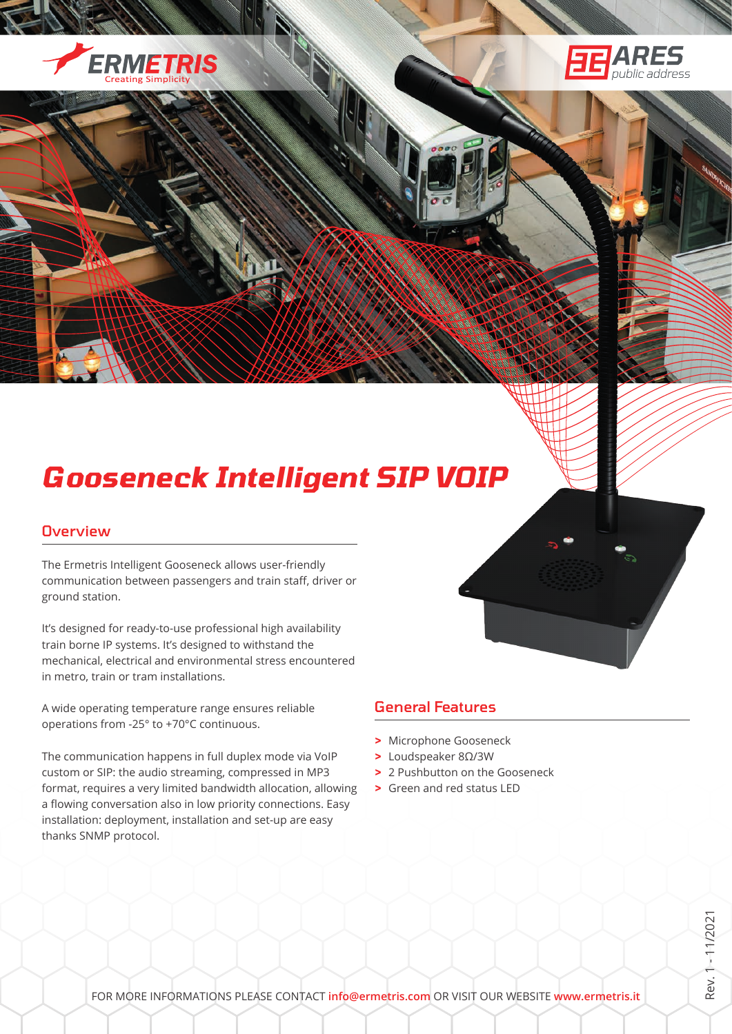



# *Gooseneck Intelligent SIP VOIP*

#### **Overview**

The Ermetris Intelligent Gooseneck allows user-friendly communication between passengers and train staff, driver or ground station.

It's designed for ready-to-use professional high availability train borne IP systems. It's designed to withstand the mechanical, electrical and environmental stress encountered in metro, train or tram installations.

A wide operating temperature range ensures reliable operations from -25° to +70°C continuous.

The communication happens in full duplex mode via VoIP custom or SIP: the audio streaming, compressed in MP3 format, requires a very limited bandwidth allocation, allowing a flowing conversation also in low priority connections. Easy installation: deployment, installation and set-up are easy thanks SNMP protocol.

## General Features

- **>** Microphone Gooseneck
- **>** Loudspeaker 8Ω/3W
- **>** 2 Pushbutton on the Gooseneck
- **>** Green and red status LED